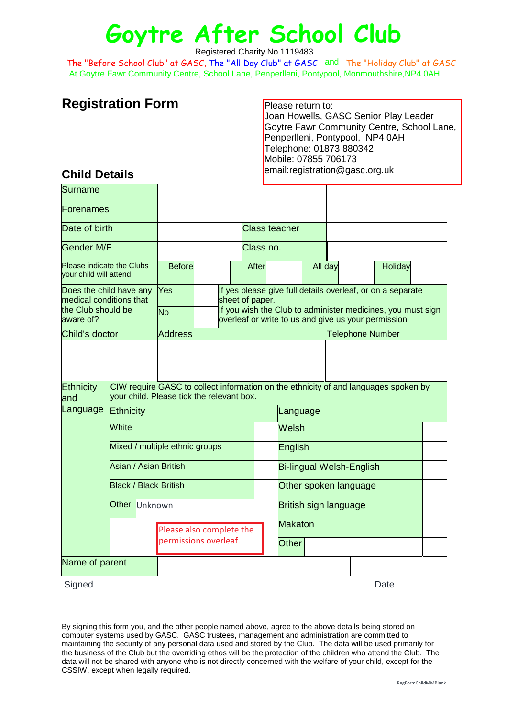# **Goytre After School Club**

Registered Charity No 1119483

At Goytre Fawr Community Centre, School Lane, Penperlleni, Pontypool, Monmouthshire,NP4 0AH The "Before School Club" at GASC, The "All Day Club" at GASC and The "Holiday Club" at GASC

# **Registration Form**

Please return to: Joan Howells, GASC Senior Play Leader Goytre Fawr Community Centre, School Lane, Penperlleni, Pontypool, NP4 0AH Telephone: 01873 880342 Mobile: 07855 706173 email:registration@gasc.org.uk

## **Child Details**

| <b>Surname</b>                                                                        |                                                                                                                                  |                       |  |                                                                                                                    |                                                                               |                |                                 |  |                         |         |  |  |
|---------------------------------------------------------------------------------------|----------------------------------------------------------------------------------------------------------------------------------|-----------------------|--|--------------------------------------------------------------------------------------------------------------------|-------------------------------------------------------------------------------|----------------|---------------------------------|--|-------------------------|---------|--|--|
| Forenames                                                                             |                                                                                                                                  |                       |  |                                                                                                                    |                                                                               |                |                                 |  |                         |         |  |  |
| Date of birth                                                                         |                                                                                                                                  |                       |  | <b>Class teacher</b>                                                                                               |                                                                               |                |                                 |  |                         |         |  |  |
| Gender M/F                                                                            |                                                                                                                                  |                       |  | Class no.                                                                                                          |                                                                               |                |                                 |  |                         |         |  |  |
| Please indicate the Clubs<br>your child will attend                                   |                                                                                                                                  | <b>Before</b>         |  |                                                                                                                    | After                                                                         |                | All day                         |  |                         | Holiday |  |  |
| Does the child have any<br>medical conditions that<br>the Club should be<br>aware of? |                                                                                                                                  | Yes                   |  |                                                                                                                    | If yes please give full details overleaf, or on a separate<br>sheet of paper. |                |                                 |  |                         |         |  |  |
|                                                                                       |                                                                                                                                  | <b>No</b>             |  | If you wish the Club to administer medicines, you must sign<br>overleaf or write to us and give us your permission |                                                                               |                |                                 |  |                         |         |  |  |
| Child's doctor                                                                        |                                                                                                                                  | <b>Address</b>        |  |                                                                                                                    |                                                                               |                |                                 |  | <b>Telephone Number</b> |         |  |  |
| <b>Ethnicity</b><br>land                                                              | CIW require GASC to collect information on the ethnicity of and languages spoken by<br>vour child. Please tick the relevant box. |                       |  |                                                                                                                    |                                                                               |                |                                 |  |                         |         |  |  |
| Language                                                                              | Ethnicity                                                                                                                        |                       |  |                                                                                                                    |                                                                               | Language       |                                 |  |                         |         |  |  |
|                                                                                       | White                                                                                                                            |                       |  |                                                                                                                    |                                                                               |                | Welsh                           |  |                         |         |  |  |
|                                                                                       | Mixed / multiple ethnic groups                                                                                                   |                       |  |                                                                                                                    |                                                                               |                | English                         |  |                         |         |  |  |
|                                                                                       | Asian / Asian British                                                                                                            |                       |  |                                                                                                                    |                                                                               |                | <b>Bi-lingual Welsh-English</b> |  |                         |         |  |  |
|                                                                                       | <b>Black / Black British</b>                                                                                                     |                       |  |                                                                                                                    |                                                                               |                | Other spoken language           |  |                         |         |  |  |
|                                                                                       | <b>Other</b><br>Unknown                                                                                                          |                       |  |                                                                                                                    |                                                                               |                | British sign language           |  |                         |         |  |  |
|                                                                                       | Please also complete the                                                                                                         |                       |  |                                                                                                                    |                                                                               | <b>Makaton</b> |                                 |  |                         |         |  |  |
|                                                                                       |                                                                                                                                  | permissions overleaf. |  |                                                                                                                    |                                                                               | <b>Other</b>   |                                 |  |                         |         |  |  |
| Name of parent                                                                        |                                                                                                                                  |                       |  |                                                                                                                    |                                                                               |                |                                 |  |                         |         |  |  |

Signed **Date** 

By signing this form you, and the other people named above, agree to the above details being stored on computer systems used by GASC. GASC trustees, management and administration are committed to maintaining the security of any personal data used and stored by the Club. The data will be used primarily for the business of the Club but the overriding ethos will be the protection of the children who attend the Club. The data will not be shared with anyone who is not directly concerned with the welfare of your child, except for the CSSIW, except when legally required.